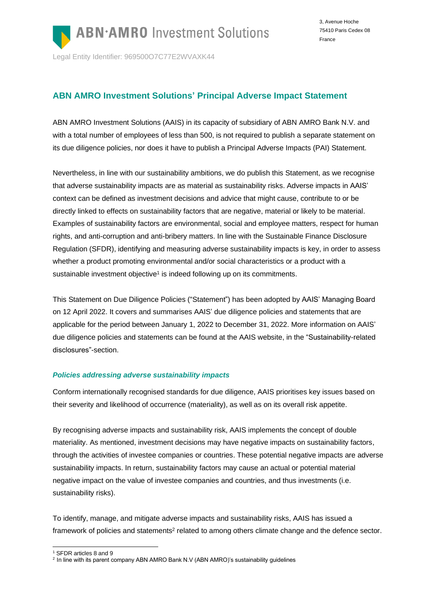**ABN AMRO Investment Solutions' Principal Adverse Impact Statement**

ABN AMRO Investment Solutions (AAIS) in its capacity of subsidiary of ABN AMRO Bank N.V. and with a total number of employees of less than 500, is not required to publish a separate statement on its due diligence policies, nor does it have to publish a Principal Adverse Impacts (PAI) Statement.

Nevertheless, in line with our sustainability ambitions, we do publish this Statement, as we recognise that adverse sustainability impacts are as material as sustainability risks. Adverse impacts in AAIS' context can be defined as investment decisions and advice that might cause, contribute to or be directly linked to effects on sustainability factors that are negative, material or likely to be material. Examples of sustainability factors are environmental, social and employee matters, respect for human rights, and anti-corruption and anti-bribery matters. In line with the Sustainable Finance Disclosure Regulation (SFDR), identifying and measuring adverse sustainability impacts is key, in order to assess whether a product promoting environmental and/or social characteristics or a product with a sustainable investment objective<sup>1</sup> is indeed following up on its commitments.

This Statement on Due Diligence Policies ("Statement") has been adopted by AAIS' Managing Board on 12 April 2022. It covers and summarises AAIS' due diligence policies and statements that are applicable for the period between January 1, 2022 to December 31, 2022. More information on AAIS' due diligence policies and statements can be found at the AAIS website, in the "Sustainability-related disclosures"-section.

## *Policies addressing adverse sustainability impacts*

Conform internationally recognised standards for due diligence, AAIS prioritises key issues based on their severity and likelihood of occurrence (materiality), as well as on its overall risk appetite.

By recognising adverse impacts and sustainability risk, AAIS implements the concept of double materiality. As mentioned, investment decisions may have negative impacts on sustainability factors, through the activities of investee companies or countries. These potential negative impacts are adverse sustainability impacts. In return, sustainability factors may cause an actual or potential material negative impact on the value of investee companies and countries, and thus investments (i.e. sustainability risks).

To identify, manage, and mitigate adverse impacts and sustainability risks, AAIS has issued a framework of policies and statements<sup>2</sup> related to among others climate change and the defence sector.

<sup>1</sup> SFDR articles 8 and 9

<sup>&</sup>lt;sup>2</sup> In line with its parent company ABN AMRO Bank N.V (ABN AMRO)'s sustainability guidelines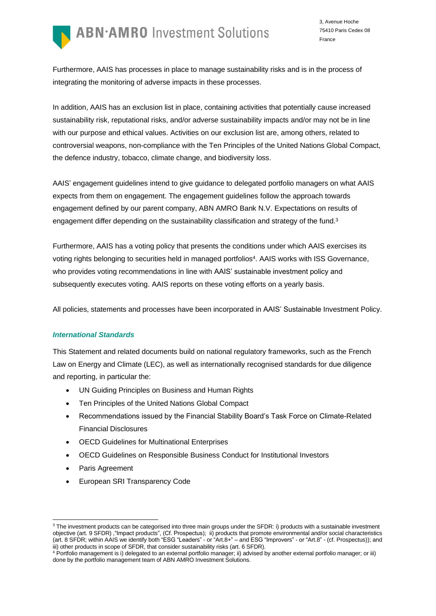# **ABN.AMRO** Investment Solutions



Furthermore, AAIS has processes in place to manage sustainability risks and is in the process of integrating the monitoring of adverse impacts in these processes.

In addition, AAIS has an exclusion list in place, containing activities that potentially cause increased sustainability risk, reputational risks, and/or adverse sustainability impacts and/or may not be in line with our purpose and ethical values. Activities on our exclusion list are, among others, related to controversial weapons, non-compliance with the Ten Principles of the United Nations Global Compact, the defence industry, tobacco, climate change, and biodiversity loss.

AAIS' engagement guidelines intend to give guidance to delegated portfolio managers on what AAIS expects from them on engagement. The engagement guidelines follow the approach towards engagement defined by our parent company, ABN AMRO Bank N.V. Expectations on results of engagement differ depending on the sustainability classification and strategy of the fund.<sup>3</sup>

Furthermore, AAIS has a voting policy that presents the conditions under which AAIS exercises its voting rights belonging to securities held in managed portfolios<sup>4</sup>. AAIS works with ISS Governance, who provides voting recommendations in line with AAIS' sustainable investment policy and subsequently executes voting. AAIS reports on these voting efforts on a yearly basis.

All policies, statements and processes have been incorporated in AAIS' Sustainable Investment Policy.

## *International Standards*

This Statement and related documents build on national regulatory frameworks, such as the French Law on Energy and Climate (LEC), as well as internationally recognised standards for due diligence and reporting, in particular the:

- UN Guiding Principles on Business and Human Rights
- Ten Principles of the United Nations Global Compact
- Recommendations issued by the Financial Stability Board's Task Force on Climate-Related Financial Disclosures
- OECD Guidelines for Multinational Enterprises
- OECD Guidelines on Responsible Business Conduct for Institutional Investors
- Paris Agreement
- European SRI Transparency Code

<sup>&</sup>lt;sup>3</sup> The investment products can be categorised into three main groups under the SFDR: i) products with a sustainable investment objective (art. 9 SFDR) ,"Impact products", (Cf. Prospectus); ii) products that promote environmental and/or social characteristics (art. 8 SFDR; within AAIS we identify both "ESG "Leaders" - or "Art.8+" – and ESG "Improvers" - or "Art.8" - (cf. Prospectus)); and iii) other products in scope of SFDR, that consider sustainability risks (art. 6 SFDR).

<sup>4</sup> Portfolio management is i) delegated to an external portfolio manager; ii) advised by another external portfolio manager; or iii) done by the portfolio management team of ABN AMRO Investment Solutions.